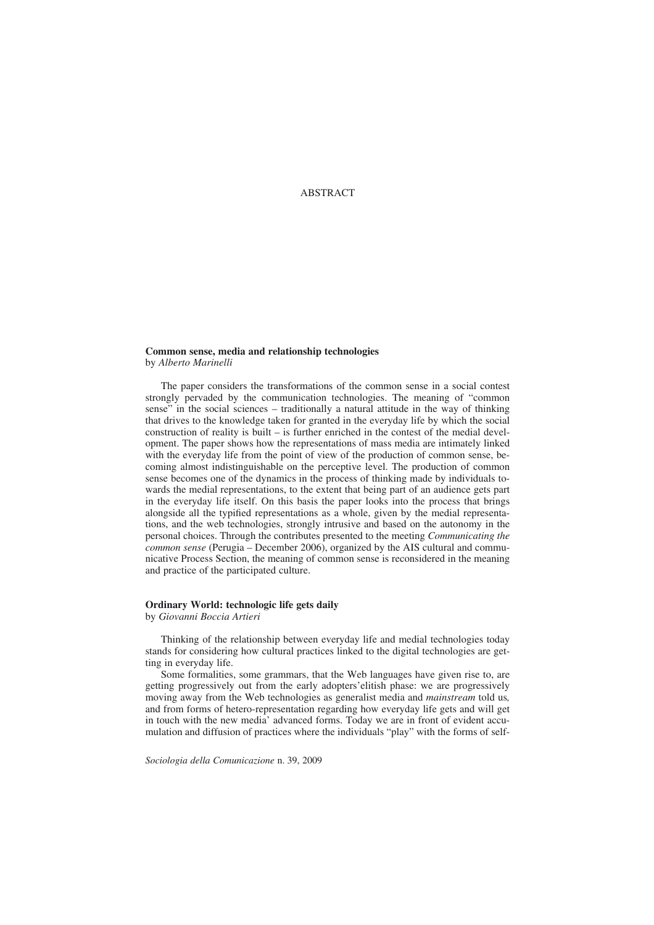ABSTRACT

### **Common sense, media and relationship technologies** by *Alberto Marinelli*

The paper considers the transformations of the common sense in a social contest strongly pervaded by the communication technologies. The meaning of "common sense" in the social sciences – traditionally a natural attitude in the way of thinking that drives to the knowledge taken for granted in the everyday life by which the social construction of reality is built – is further enriched in the contest of the medial development. The paper shows how the representations of mass media are intimately linked with the everyday life from the point of view of the production of common sense, becoming almost indistinguishable on the perceptive level. The production of common sense becomes one of the dynamics in the process of thinking made by individuals towards the medial representations, to the extent that being part of an audience gets part in the everyday life itself. On this basis the paper looks into the process that brings alongside all the typified representations as a whole, given by the medial representations, and the web technologies, strongly intrusive and based on the autonomy in the personal choices. Through the contributes presented to the meeting *Communicating the common sense* (Perugia – December 2006), organized by the AIS cultural and communicative Process Section, the meaning of common sense is reconsidered in the meaning and practice of the participated culture.

# **Ordinary World: technologic life gets daily**

by *Giovanni Boccia Artieri*

Thinking of the relationship between everyday life and medial technologies today stands for considering how cultural practices linked to the digital technologies are getting in everyday life.

Some formalities, some grammars, that the Web languages have given rise to, are getting progressively out from the early adopters'elitish phase: we are progressively moving away from the Web technologies as generalist media and *mainstream* told us*,* and from forms of hetero-representation regarding how everyday life gets and will get in touch with the new media' advanced forms. Today we are in front of evident accumulation and diffusion of practices where the individuals "play" with the forms of self-

*Sociologia della Comunicazione* n. 39, 2009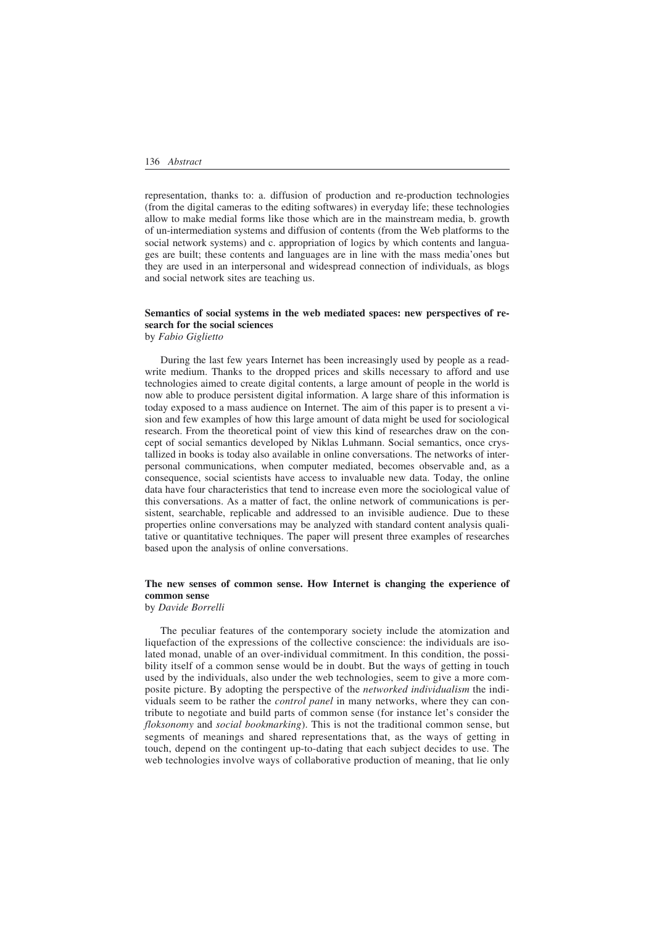representation, thanks to: a. diffusion of production and re-production technologies (from the digital cameras to the editing softwares) in everyday life; these technologies allow to make medial forms like those which are in the mainstream media, b. growth of un-intermediation systems and diffusion of contents (from the Web platforms to the social network systems) and c. appropriation of logics by which contents and languages are built; these contents and languages are in line with the mass media'ones but they are used in an interpersonal and widespread connection of individuals, as blogs and social network sites are teaching us.

### **Semantics of social systems in the web mediated spaces: new perspectives of research for the social sciences** by *Fabio Giglietto*

During the last few years Internet has been increasingly used by people as a readwrite medium. Thanks to the dropped prices and skills necessary to afford and use technologies aimed to create digital contents, a large amount of people in the world is now able to produce persistent digital information. A large share of this information is today exposed to a mass audience on Internet. The aim of this paper is to present a vision and few examples of how this large amount of data might be used for sociological research. From the theoretical point of view this kind of researches draw on the concept of social semantics developed by Niklas Luhmann. Social semantics, once crystallized in books is today also available in online conversations. The networks of interpersonal communications, when computer mediated, becomes observable and, as a consequence, social scientists have access to invaluable new data. Today, the online data have four characteristics that tend to increase even more the sociological value of this conversations. As a matter of fact, the online network of communications is persistent, searchable, replicable and addressed to an invisible audience. Due to these properties online conversations may be analyzed with standard content analysis qualitative or quantitative techniques. The paper will present three examples of researches based upon the analysis of online conversations.

### **The new senses of common sense. How Internet is changing the experience of common sense** by *Davide Borrelli*

The peculiar features of the contemporary society include the atomization and liquefaction of the expressions of the collective conscience: the individuals are isolated monad, unable of an over-individual commitment. In this condition, the possibility itself of a common sense would be in doubt. But the ways of getting in touch used by the individuals, also under the web technologies, seem to give a more composite picture. By adopting the perspective of the *networked individualism* the individuals seem to be rather the *control panel* in many networks, where they can contribute to negotiate and build parts of common sense (for instance let's consider the *floksonomy* and *social bookmarking*). This is not the traditional common sense, but segments of meanings and shared representations that, as the ways of getting in touch, depend on the contingent up-to-dating that each subject decides to use. The web technologies involve ways of collaborative production of meaning, that lie only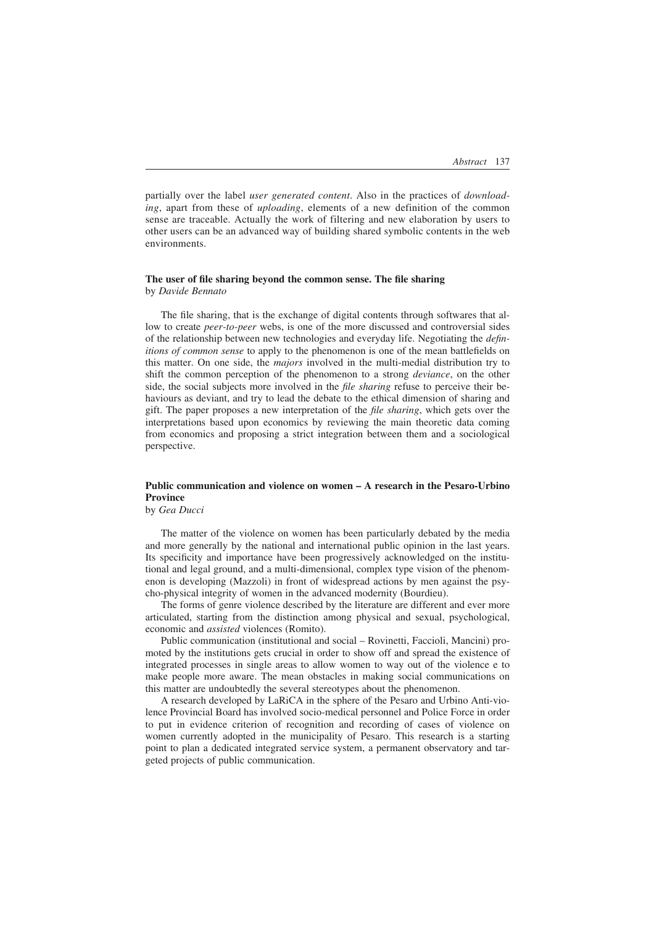partially over the label *user generated content*. Also in the practices of *downloading*, apart from these of *uploading*, elements of a new definition of the common sense are traceable. Actually the work of filtering and new elaboration by users to other users can be an advanced way of building shared symbolic contents in the web environments.

#### **The user of file sharing beyond the common sense. The file sharing** by *Davide Bennato*

The file sharing, that is the exchange of digital contents through softwares that allow to create *peer-to-peer* webs, is one of the more discussed and controversial sides of the relationship between new technologies and everyday life. Negotiating the *definitions of common sense* to apply to the phenomenon is one of the mean battlefields on this matter. On one side, the *majors* involved in the multi-medial distribution try to shift the common perception of the phenomenon to a strong *deviance*, on the other side, the social subjects more involved in the *file sharing* refuse to perceive their behaviours as deviant, and try to lead the debate to the ethical dimension of sharing and gift. The paper proposes a new interpretation of the *file sharing*, which gets over the interpretations based upon economics by reviewing the main theoretic data coming from economics and proposing a strict integration between them and a sociological perspective.

## **Public communication and violence on women – A research in the Pesaro-Urbino Province**

by *Gea Ducci*

The matter of the violence on women has been particularly debated by the media and more generally by the national and international public opinion in the last years. Its specificity and importance have been progressively acknowledged on the institutional and legal ground, and a multi-dimensional, complex type vision of the phenomenon is developing (Mazzoli) in front of widespread actions by men against the psycho-physical integrity of women in the advanced modernity (Bourdieu).

The forms of genre violence described by the literature are different and ever more articulated, starting from the distinction among physical and sexual, psychological, economic and *assisted* violences (Romito).

Public communication (institutional and social – Rovinetti, Faccioli, Mancini) promoted by the institutions gets crucial in order to show off and spread the existence of integrated processes in single areas to allow women to way out of the violence e to make people more aware. The mean obstacles in making social communications on this matter are undoubtedly the several stereotypes about the phenomenon.

A research developed by LaRiCA in the sphere of the Pesaro and Urbino Anti-violence Provincial Board has involved socio-medical personnel and Police Force in order to put in evidence criterion of recognition and recording of cases of violence on women currently adopted in the municipality of Pesaro. This research is a starting point to plan a dedicated integrated service system, a permanent observatory and targeted projects of public communication.